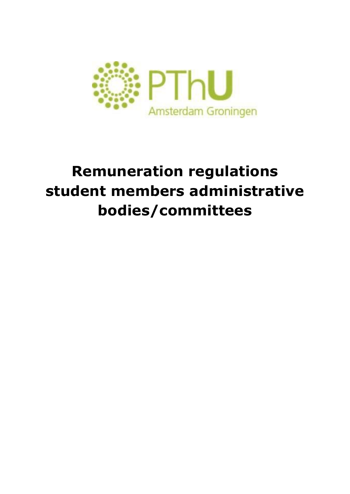

## **Remuneration regulations student members administrative bodies/committees**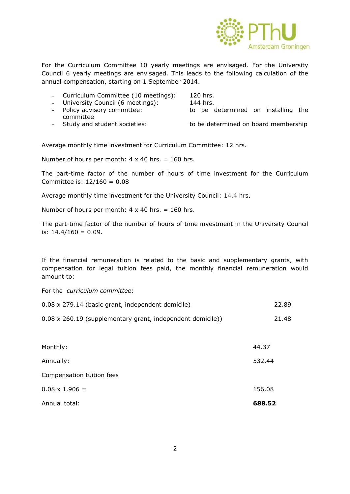

For the Curriculum Committee 10 yearly meetings are envisaged. For the University Council 6 yearly meetings are envisaged. This leads to the following calculation of the annual compensation, starting on 1 September 2014.

Curriculum Committee (10 meetings): 120 hrs.

- University Council (6 meetings): 144 hrs.

- Policy advisory committee: the state of be determined on installing the

committee

- 
- Study and student societies: to be determined on board membership

Average monthly time investment for Curriculum Committee: 12 hrs.

Number of hours per month:  $4 \times 40$  hrs. = 160 hrs.

The part-time factor of the number of hours of time investment for the Curriculum Committee is: 12/160 = 0.08

Average monthly time investment for the University Council: 14.4 hrs.

Number of hours per month:  $4 \times 40$  hrs. = 160 hrs.

The part-time factor of the number of hours of time investment in the University Council is:  $14.4/160 = 0.09$ .

If the financial remuneration is related to the basic and supplementary grants, with compensation for legal tuition fees paid, the monthly financial remuneration would amount to:

For the *curriculum committee*:

| 0.08 x 279.14 (basic grant, independent domicile)          | 22.89 |
|------------------------------------------------------------|-------|
| 0.08 x 260.19 (supplementary grant, independent domicile)) | 21.48 |

| Annual total:             | 688.52 |
|---------------------------|--------|
| $0.08 \times 1.906 =$     | 156.08 |
| Compensation tuition fees |        |
| Annually:                 | 532.44 |
| Monthly:                  | 44.37  |